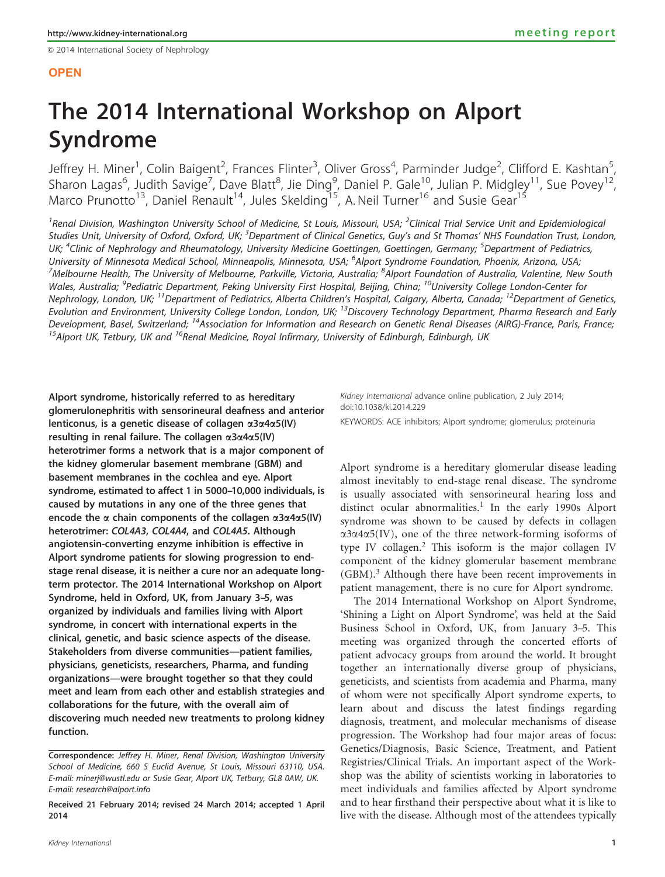## The 2014 International Workshop on Alport Syndrome

Jeffrey H. Miner<sup>1</sup>, Colin Baigent<sup>2</sup>, Frances Flinter<sup>3</sup>, Oliver Gross<sup>4</sup>, Parminder Judge<sup>2</sup>, Clifford E. Kashtan<sup>5</sup> , Sharon Lagas<sup>6</sup>, Judith Savige<sup>7</sup>, Dave Blatt<sup>8</sup>, Jie Ding<sup>9</sup>, Daniel P. Gale<sup>10</sup>, Julian P. Midgley<sup>11</sup>, Sue Povey<sup>12</sup>, Marco Prunotto<sup>13</sup>, Daniel Renault<sup>14</sup>, Jules Skelding<sup>15</sup>, A. Neil Turner<sup>16</sup> and Susie Gear<sup>15</sup>

<sup>1</sup>Renal Division, Washington University School of Medicine, St Louis, Missouri, USA; <sup>2</sup>Clinical Trial Service Unit and Epidemiological Studies Unit, University of Oxford, Oxford, UK; <sup>3</sup>Department of Clinical Genetics, Guy's and St Thomas' NHS Foundation Trust, London, UK; <sup>4</sup>Clinic of Nephrology and Rheumatology, University Medicine Goettingen, Goettingen, Germany; <sup>5</sup>Department of Pediatrics, University of Minnesota Medical School, Minneapolis, Minnesota, USA; <sup>6</sup>Alport Syndrome Foundation, Phoenix, Arizona, USA;<br><sup>7</sup>Melhourne Heelth, The University of Melhourne, Perkyille, Victoria, Australia: <sup>8</sup>Alport Foundat .<br>Melbourne Health, The University of Melbourne, Parkville, Victoria, Australia; <sup>8</sup>Alport Foundation of Australia, Valentine, New South Wales, Australia; <sup>9</sup>Pediatric Department, Peking University First Hospital, Beijing, China; <sup>10</sup>University College London-Center for Nephrology, London, UK; <sup>11</sup>Department of Pediatrics, Alberta Children's Hospital, Calgary, Alberta, Canada; <sup>12</sup>Department of Genetics, Evolution and Environment, University College London, London, UK; 13Discovery Technology Department, Pharma Research and Early Development, Basel, Switzerland; <sup>14</sup>Association for Information and Research on Genetic Renal Diseases (AIRG)-France, Paris, France;<br><sup>15</sup>Alport UK, Tetbury, UK and <sup>16</sup>Renal Medicine, Royal Infirmary, University of Edinbu

Alport syndrome, historically referred to as hereditary glomerulonephritis with sensorineural deafness and anterior lenticonus, is a genetic disease of collagen  $\alpha$ 3 $\alpha$ 4 $\alpha$ 5(IV) resulting in renal failure. The collagen  $\alpha$ 3 $\alpha$ 4 $\alpha$ 5(IV) heterotrimer forms a network that is a major component of the kidney glomerular basement membrane (GBM) and basement membranes in the cochlea and eye. Alport syndrome, estimated to affect 1 in 5000–10,000 individuals, is caused by mutations in any one of the three genes that encode the  $\alpha$  chain components of the collagen  $\alpha$ 3 $\alpha$ 4 $\alpha$ 5(IV) heterotrimer: COL4A3, COL4A4, and COL4A5. Although angiotensin-converting enzyme inhibition is effective in Alport syndrome patients for slowing progression to endstage renal disease, it is neither a cure nor an adequate longterm protector. The 2014 International Workshop on Alport Syndrome, held in Oxford, UK, from January 3–5, was organized by individuals and families living with Alport syndrome, in concert with international experts in the clinical, genetic, and basic science aspects of the disease. Stakeholders from diverse communities—patient families, physicians, geneticists, researchers, Pharma, and funding organizations—were brought together so that they could meet and learn from each other and establish strategies and collaborations for the future, with the overall aim of discovering much needed new treatments to prolong kidney function.

Correspondence: Jeffrey H. Miner, Renal Division, Washington University School of Medicine, 660 S Euclid Avenue, St Louis, Missouri 63110, USA. E-mail: [minerj@wustl.edu](mailto:minerj@wustl.edu) or Susie Gear, Alport UK, Tetbury, GL8 0AW, UK. E-mail: [research@alport.info](mailto:research@alport.info)

Received 21 February 2014; revised 24 March 2014; accepted 1 April 2014

Kidney International advance online publication, 2 July 2014; doi:[10.1038/ki.2014.229](http://dx.doi.org/10.1038/ki.2014.229) KEYWORDS: ACE inhibitors; Alport syndrome; glomerulus; proteinuria

Alport syndrome is a hereditary glomerular disease leading almost inevitably to end-stage renal disease. The syndrome is usually associated with sensorineural hearing loss and distinct ocular abnormalities.<sup>[1](#page-4-0)</sup> In the early 1990s Alport syndrome was shown to be caused by defects in collagen  $\alpha$ 3 $\alpha$ 4 $\alpha$ 5(IV), one of the three network-forming isoforms of type IV collagen.<sup>[2](#page-4-0)</sup> This isoform is the major collagen IV component of the kidney glomerular basement membrane  $(GBM)<sup>3</sup>$  $(GBM)<sup>3</sup>$  $(GBM)<sup>3</sup>$  Although there have been recent improvements in patient management, there is no cure for Alport syndrome.

The 2014 International Workshop on Alport Syndrome, 'Shining a Light on Alport Syndrome', was held at the Said Business School in Oxford, UK, from January 3–5. This meeting was organized through the concerted efforts of patient advocacy groups from around the world. It brought together an internationally diverse group of physicians, geneticists, and scientists from academia and Pharma, many of whom were not specifically Alport syndrome experts, to learn about and discuss the latest findings regarding diagnosis, treatment, and molecular mechanisms of disease progression. The Workshop had four major areas of focus: Genetics/Diagnosis, Basic Science, Treatment, and Patient Registries/Clinical Trials. An important aspect of the Workshop was the ability of scientists working in laboratories to meet individuals and families affected by Alport syndrome and to hear firsthand their perspective about what it is like to live with the disease. Although most of the attendees typically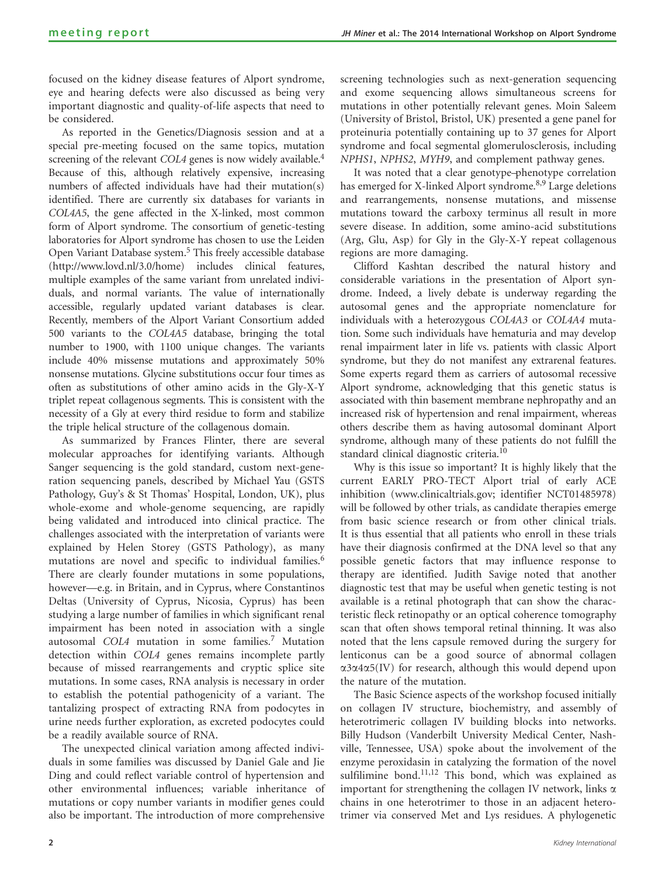focused on the kidney disease features of Alport syndrome, eye and hearing defects were also discussed as being very important diagnostic and quality-of-life aspects that need to be considered.

As reported in the Genetics/Diagnosis session and at a special pre-meeting focused on the same topics, mutation screening of the relevant COL4 genes is now widely available.<sup>4</sup> Because of this, although relatively expensive, increasing numbers of affected individuals have had their mutation(s) identified. There are currently six databases for variants in COL4A5, the gene affected in the X-linked, most common form of Alport syndrome. The consortium of genetic-testing laboratories for Alport syndrome has chosen to use the Leiden Open Variant Database system.<sup>5</sup> This freely accessible database [\(http://www.lovd.nl/3.0/home](http://www.lovd.nl/3.0/home)) includes clinical features, multiple examples of the same variant from unrelated individuals, and normal variants. The value of internationally accessible, regularly updated variant databases is clear. Recently, members of the Alport Variant Consortium added 500 variants to the COL4A5 database, bringing the total number to 1900, with 1100 unique changes. The variants include 40% missense mutations and approximately 50% nonsense mutations. Glycine substitutions occur four times as often as substitutions of other amino acids in the Gly-X-Y triplet repeat collagenous segments. This is consistent with the necessity of a Gly at every third residue to form and stabilize the triple helical structure of the collagenous domain.

As summarized by Frances Flinter, there are several molecular approaches for identifying variants. Although Sanger sequencing is the gold standard, custom next-generation sequencing panels, described by Michael Yau (GSTS Pathology, Guy's & St Thomas' Hospital, London, UK), plus whole-exome and whole-genome sequencing, are rapidly being validated and introduced into clinical practice. The challenges associated with the interpretation of variants were explained by Helen Storey (GSTS Pathology), as many mutations are novel and specific to individual families.<sup>[6](#page-4-0)</sup> There are clearly founder mutations in some populations, however—e.g. in Britain, and in Cyprus, where Constantinos Deltas (University of Cyprus, Nicosia, Cyprus) has been studying a large number of families in which significant renal impairment has been noted in association with a single autosomal COL4 mutation in some families.[7](#page-4-0) Mutation detection within COL4 genes remains incomplete partly because of missed rearrangements and cryptic splice site mutations. In some cases, RNA analysis is necessary in order to establish the potential pathogenicity of a variant. The tantalizing prospect of extracting RNA from podocytes in urine needs further exploration, as excreted podocytes could be a readily available source of RNA.

The unexpected clinical variation among affected individuals in some families was discussed by Daniel Gale and Jie Ding and could reflect variable control of hypertension and other environmental influences; variable inheritance of mutations or copy number variants in modifier genes could also be important. The introduction of more comprehensive screening technologies such as next-generation sequencing and exome sequencing allows simultaneous screens for mutations in other potentially relevant genes. Moin Saleem (University of Bristol, Bristol, UK) presented a gene panel for proteinuria potentially containing up to 37 genes for Alport syndrome and focal segmental glomerulosclerosis, including NPHS1, NPHS2, MYH9, and complement pathway genes.

It was noted that a clear genotype–phenotype correlation has emerged for X-linked Alport syndrome.<sup>[8,9](#page-5-0)</sup> Large deletions and rearrangements, nonsense mutations, and missense mutations toward the carboxy terminus all result in more severe disease. In addition, some amino-acid substitutions (Arg, Glu, Asp) for Gly in the Gly-X-Y repeat collagenous regions are more damaging.

Clifford Kashtan described the natural history and considerable variations in the presentation of Alport syndrome. Indeed, a lively debate is underway regarding the autosomal genes and the appropriate nomenclature for individuals with a heterozygous COL4A3 or COL4A4 mutation. Some such individuals have hematuria and may develop renal impairment later in life vs. patients with classic Alport syndrome, but they do not manifest any extrarenal features. Some experts regard them as carriers of autosomal recessive Alport syndrome, acknowledging that this genetic status is associated with thin basement membrane nephropathy and an increased risk of hypertension and renal impairment, whereas others describe them as having autosomal dominant Alport syndrome, although many of these patients do not fulfill the standard clinical diagnostic criteria.<sup>[10](#page-5-0)</sup>

Why is this issue so important? It is highly likely that the current EARLY PRO-TECT Alport trial of early ACE inhibition (<www.clinicaltrials.gov>; identifier NCT01485978) will be followed by other trials, as candidate therapies emerge from basic science research or from other clinical trials. It is thus essential that all patients who enroll in these trials have their diagnosis confirmed at the DNA level so that any possible genetic factors that may influence response to therapy are identified. Judith Savige noted that another diagnostic test that may be useful when genetic testing is not available is a retinal photograph that can show the characteristic fleck retinopathy or an optical coherence tomography scan that often shows temporal retinal thinning. It was also noted that the lens capsule removed during the surgery for lenticonus can be a good source of abnormal collagen  $\alpha$ 3 $\alpha$ 4 $\alpha$ 5(IV) for research, although this would depend upon the nature of the mutation.

The Basic Science aspects of the workshop focused initially on collagen IV structure, biochemistry, and assembly of heterotrimeric collagen IV building blocks into networks. Billy Hudson (Vanderbilt University Medical Center, Nashville, Tennessee, USA) spoke about the involvement of the enzyme peroxidasin in catalyzing the formation of the novel sulfilimine bond. $11,12$  This bond, which was explained as important for strengthening the collagen IV network, links  $\alpha$ chains in one heterotrimer to those in an adjacent heterotrimer via conserved Met and Lys residues. A phylogenetic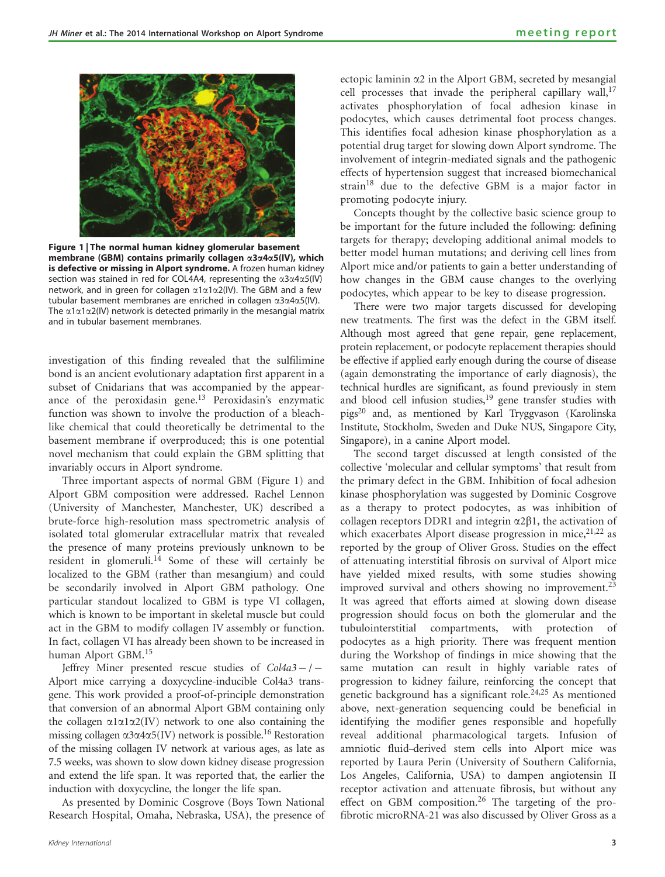

Figure 1 | The normal human kidney glomerular basement membrane (GBM) contains primarily collagen a3a4a5(IV), which is defective or missing in Alport syndrome. A frozen human kidney section was stained in red for COL4A4, representing the  $\alpha$ 3 $\alpha$ 4 $\alpha$ 5(IV) network, and in green for collagen  $\alpha$ 1 $\alpha$ 1 $\alpha$ 2(IV). The GBM and a few tubular basement membranes are enriched in collagen  $\alpha$ 3 $\alpha$ 4 $\alpha$ 5(IV). The  $\alpha$ 1 $\alpha$ 1 $\alpha$ 2(IV) network is detected primarily in the mesangial matrix and in tubular basement membranes.

investigation of this finding revealed that the sulfilimine bond is an ancient evolutionary adaptation first apparent in a subset of Cnidarians that was accompanied by the appearance of the peroxidasin gene. $13$  Peroxidasin's enzymatic function was shown to involve the production of a bleachlike chemical that could theoretically be detrimental to the basement membrane if overproduced; this is one potential novel mechanism that could explain the GBM splitting that invariably occurs in Alport syndrome.

Three important aspects of normal GBM (Figure 1) and Alport GBM composition were addressed. Rachel Lennon (University of Manchester, Manchester, UK) described a brute-force high-resolution mass spectrometric analysis of isolated total glomerular extracellular matrix that revealed the presence of many proteins previously unknown to be resident in glomeruli.<sup>14</sup> Some of these will certainly be localized to the GBM (rather than mesangium) and could be secondarily involved in Alport GBM pathology. One particular standout localized to GBM is type VI collagen, which is known to be important in skeletal muscle but could act in the GBM to modify collagen IV assembly or function. In fact, collagen VI has already been shown to be increased in human Alport GBM.[15](#page-5-0)

Jeffrey Miner presented rescue studies of  $Col4a3 - l -$ Alport mice carrying a doxycycline-inducible Col4a3 transgene. This work provided a proof-of-principle demonstration that conversion of an abnormal Alport GBM containing only the collagen  $\alpha$ 1 $\alpha$ 1 $\alpha$ 2(IV) network to one also containing the missing collagen  $\alpha$ 3 $\alpha$ 4 $\alpha$ 5(IV) network is possible.<sup>16</sup> Restoration of the missing collagen IV network at various ages, as late as 7.5 weeks, was shown to slow down kidney disease progression and extend the life span. It was reported that, the earlier the induction with doxycycline, the longer the life span.

As presented by Dominic Cosgrove (Boys Town National Research Hospital, Omaha, Nebraska, USA), the presence of ectopic laminin  $\alpha$ 2 in the Alport GBM, secreted by mesangial cell processes that invade the peripheral capillary wall, $17$ activates phosphorylation of focal adhesion kinase in podocytes, which causes detrimental foot process changes. This identifies focal adhesion kinase phosphorylation as a potential drug target for slowing down Alport syndrome. The involvement of integrin-mediated signals and the pathogenic effects of hypertension suggest that increased biomechanical strain[18](#page-5-0) due to the defective GBM is a major factor in promoting podocyte injury.

Concepts thought by the collective basic science group to be important for the future included the following: defining targets for therapy; developing additional animal models to better model human mutations; and deriving cell lines from Alport mice and/or patients to gain a better understanding of how changes in the GBM cause changes to the overlying podocytes, which appear to be key to disease progression.

There were two major targets discussed for developing new treatments. The first was the defect in the GBM itself. Although most agreed that gene repair, gene replacement, protein replacement, or podocyte replacement therapies should be effective if applied early enough during the course of disease (again demonstrating the importance of early diagnosis), the technical hurdles are significant, as found previously in stem and blood cell infusion studies,<sup>[19](#page-5-0)</sup> gene transfer studies with pigs<sup>[20](#page-5-0)</sup> and, as mentioned by Karl Tryggvason (Karolinska Institute, Stockholm, Sweden and Duke NUS, Singapore City, Singapore), in a canine Alport model.

The second target discussed at length consisted of the collective 'molecular and cellular symptoms' that result from the primary defect in the GBM. Inhibition of focal adhesion kinase phosphorylation was suggested by Dominic Cosgrove as a therapy to protect podocytes, as was inhibition of collagen receptors DDR1 and integrin  $\alpha$ 2 $\beta$ 1, the activation of which exacerbates Alport disease progression in mice,  $2^{1,22}$  as reported by the group of Oliver Gross. Studies on the effect of attenuating interstitial fibrosis on survival of Alport mice have yielded mixed results, with some studies showing improved survival and others showing no improvement.<sup>23</sup> It was agreed that efforts aimed at slowing down disease progression should focus on both the glomerular and the tubulointerstitial compartments, with protection of podocytes as a high priority. There was frequent mention during the Workshop of findings in mice showing that the same mutation can result in highly variable rates of progression to kidney failure, reinforcing the concept that genetic background has a significant role.<sup>[24,25](#page-5-0)</sup> As mentioned above, next-generation sequencing could be beneficial in identifying the modifier genes responsible and hopefully reveal additional pharmacological targets. Infusion of amniotic fluid–derived stem cells into Alport mice was reported by Laura Perin (University of Southern California, Los Angeles, California, USA) to dampen angiotensin II receptor activation and attenuate fibrosis, but without any effect on GBM composition.<sup>[26](#page-5-0)</sup> The targeting of the profibrotic microRNA-21 was also discussed by Oliver Gross as a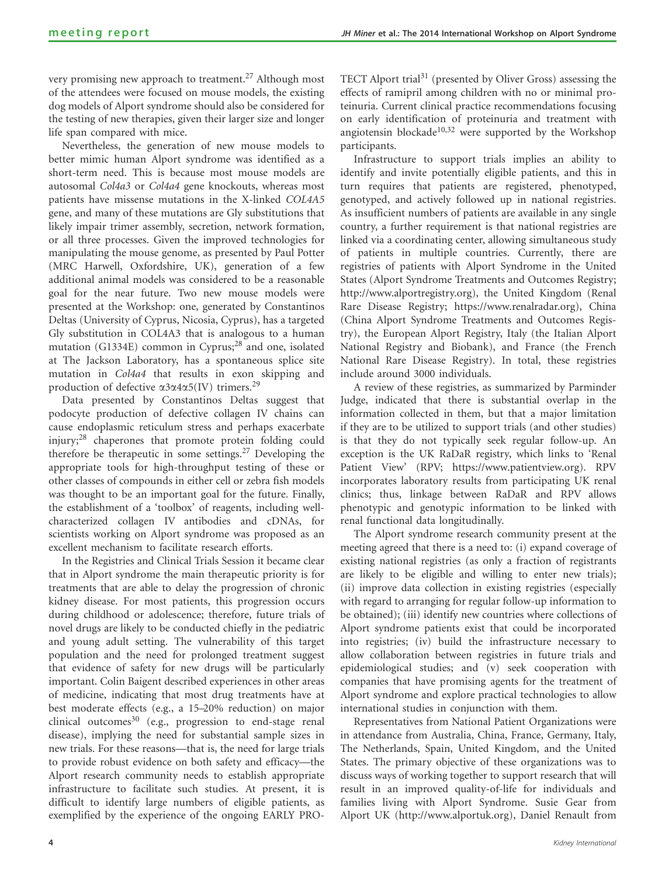very promising new approach to treatment.<sup>[27](#page-5-0)</sup> Although most of the attendees were focused on mouse models, the existing dog models of Alport syndrome should also be considered for the testing of new therapies, given their larger size and longer life span compared with mice.

Nevertheless, the generation of new mouse models to better mimic human Alport syndrome was identified as a short-term need. This is because most mouse models are autosomal Col4a3 or Col4a4 gene knockouts, whereas most patients have missense mutations in the X-linked COL4A5 gene, and many of these mutations are Gly substitutions that likely impair trimer assembly, secretion, network formation, or all three processes. Given the improved technologies for manipulating the mouse genome, as presented by Paul Potter (MRC Harwell, Oxfordshire, UK), generation of a few additional animal models was considered to be a reasonable goal for the near future. Two new mouse models were presented at the Workshop: one, generated by Constantinos Deltas (University of Cyprus, Nicosia, Cyprus), has a targeted Gly substitution in COL4A3 that is analogous to a human mutation (G1334E) common in Cyprus; $^{28}$  $^{28}$  $^{28}$  and one, isolated at The Jackson Laboratory, has a spontaneous splice site mutation in Col4a4 that results in exon skipping and production of defective  $\alpha$ 3 $\alpha$ 4 $\alpha$ 5(IV) trimers.<sup>[29](#page-5-0)</sup>

Data presented by Constantinos Deltas suggest that podocyte production of defective collagen IV chains can cause endoplasmic reticulum stress and perhaps exacerbate injury;[28](#page-5-0) chaperones that promote protein folding could therefore be therapeutic in some settings.<sup>[27](#page-5-0)</sup> Developing the appropriate tools for high-throughput testing of these or other classes of compounds in either cell or zebra fish models was thought to be an important goal for the future. Finally, the establishment of a 'toolbox' of reagents, including wellcharacterized collagen IV antibodies and cDNAs, for scientists working on Alport syndrome was proposed as an excellent mechanism to facilitate research efforts.

In the Registries and Clinical Trials Session it became clear that in Alport syndrome the main therapeutic priority is for treatments that are able to delay the progression of chronic kidney disease. For most patients, this progression occurs during childhood or adolescence; therefore, future trials of novel drugs are likely to be conducted chiefly in the pediatric and young adult setting. The vulnerability of this target population and the need for prolonged treatment suggest that evidence of safety for new drugs will be particularly important. Colin Baigent described experiences in other areas of medicine, indicating that most drug treatments have at best moderate effects (e.g., a 15–20% reduction) on major clinical outcomes<sup>[30](#page-5-0)</sup> (e.g., progression to end-stage renal disease), implying the need for substantial sample sizes in new trials. For these reasons—that is, the need for large trials to provide robust evidence on both safety and efficacy—the Alport research community needs to establish appropriate infrastructure to facilitate such studies. At present, it is difficult to identify large numbers of eligible patients, as exemplified by the experience of the ongoing EARLY PRO-

TECT Alport trial<sup>[31](#page-5-0)</sup> (presented by Oliver Gross) assessing the effects of ramipril among children with no or minimal proteinuria. Current clinical practice recommendations focusing on early identification of proteinuria and treatment with angiotensin blockade<sup>[10,32](#page-5-0)</sup> were supported by the Workshop participants.

Infrastructure to support trials implies an ability to identify and invite potentially eligible patients, and this in turn requires that patients are registered, phenotyped, genotyped, and actively followed up in national registries. As insufficient numbers of patients are available in any single country, a further requirement is that national registries are linked via a coordinating center, allowing simultaneous study of patients in multiple countries. Currently, there are registries of patients with Alport Syndrome in the United States (Alport Syndrome Treatments and Outcomes Registry; <http://www.alportregistry.org>), the United Kingdom (Renal Rare Disease Registry; [https://www.renalradar.org\)](https://www.renalradar.org), China (China Alport Syndrome Treatments and Outcomes Registry), the European Alport Registry, Italy (the Italian Alport National Registry and Biobank), and France (the French National Rare Disease Registry). In total, these registries include around 3000 individuals.

A review of these registries, as summarized by Parminder Judge, indicated that there is substantial overlap in the information collected in them, but that a major limitation if they are to be utilized to support trials (and other studies) is that they do not typically seek regular follow-up. An exception is the UK RaDaR registry, which links to 'Renal Patient View' (RPV;<https://www.patientview.org>). RPV incorporates laboratory results from participating UK renal clinics; thus, linkage between RaDaR and RPV allows phenotypic and genotypic information to be linked with renal functional data longitudinally.

The Alport syndrome research community present at the meeting agreed that there is a need to: (i) expand coverage of existing national registries (as only a fraction of registrants are likely to be eligible and willing to enter new trials); (ii) improve data collection in existing registries (especially with regard to arranging for regular follow-up information to be obtained); (iii) identify new countries where collections of Alport syndrome patients exist that could be incorporated into registries; (iv) build the infrastructure necessary to allow collaboration between registries in future trials and epidemiological studies; and (v) seek cooperation with companies that have promising agents for the treatment of Alport syndrome and explore practical technologies to allow international studies in conjunction with them.

Representatives from National Patient Organizations were in attendance from Australia, China, France, Germany, Italy, The Netherlands, Spain, United Kingdom, and the United States. The primary objective of these organizations was to discuss ways of working together to support research that will result in an improved quality-of-life for individuals and families living with Alport Syndrome. Susie Gear from Alport UK [\(http://www.alportuk.org\)](http://www.alportuk.org), Daniel Renault from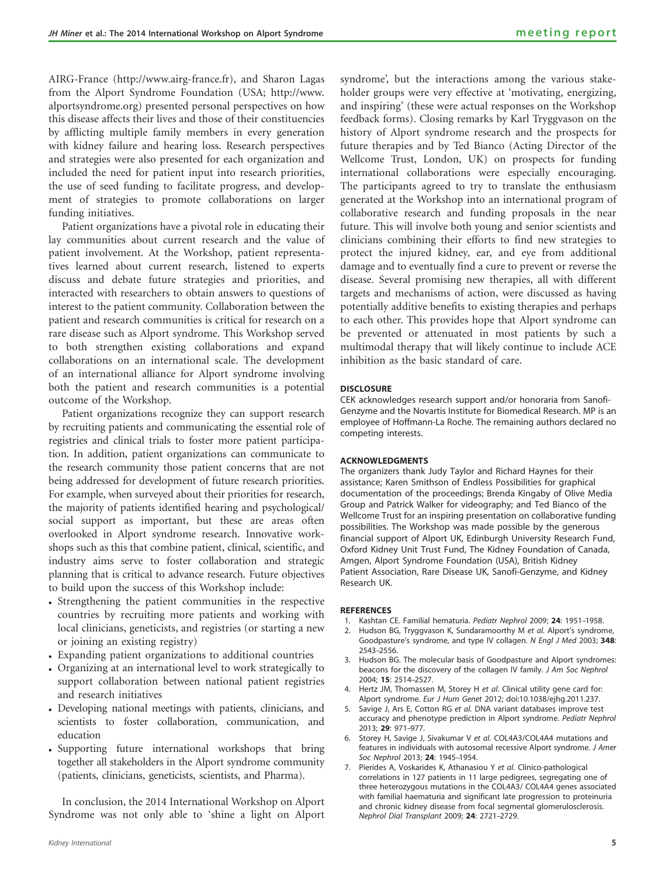<span id="page-4-0"></span>AIRG-France ([http://www.airg-france.fr\)](http://www.airg-france.fr), and Sharon Lagas from the Alport Syndrome Foundation (USA; [http://www.](http://www.alportsyndrome.org) [alportsyndrome.org](http://www.alportsyndrome.org)) presented personal perspectives on how this disease affects their lives and those of their constituencies by afflicting multiple family members in every generation with kidney failure and hearing loss. Research perspectives and strategies were also presented for each organization and included the need for patient input into research priorities, the use of seed funding to facilitate progress, and development of strategies to promote collaborations on larger funding initiatives.

Patient organizations have a pivotal role in educating their lay communities about current research and the value of patient involvement. At the Workshop, patient representatives learned about current research, listened to experts discuss and debate future strategies and priorities, and interacted with researchers to obtain answers to questions of interest to the patient community. Collaboration between the patient and research communities is critical for research on a rare disease such as Alport syndrome. This Workshop served to both strengthen existing collaborations and expand collaborations on an international scale. The development of an international alliance for Alport syndrome involving both the patient and research communities is a potential outcome of the Workshop.

Patient organizations recognize they can support research by recruiting patients and communicating the essential role of registries and clinical trials to foster more patient participation. In addition, patient organizations can communicate to the research community those patient concerns that are not being addressed for development of future research priorities. For example, when surveyed about their priorities for research, the majority of patients identified hearing and psychological/ social support as important, but these are areas often overlooked in Alport syndrome research. Innovative workshops such as this that combine patient, clinical, scientific, and industry aims serve to foster collaboration and strategic planning that is critical to advance research. Future objectives to build upon the success of this Workshop include:

- Strengthening the patient communities in the respective countries by recruiting more patients and working with local clinicians, geneticists, and registries (or starting a new or joining an existing registry)
- Expanding patient organizations to additional countries
- Organizing at an international level to work strategically to support collaboration between national patient registries and research initiatives
- Developing national meetings with patients, clinicians, and scientists to foster collaboration, communication, and education
- Supporting future international workshops that bring together all stakeholders in the Alport syndrome community (patients, clinicians, geneticists, scientists, and Pharma).

In conclusion, the 2014 International Workshop on Alport Syndrome was not only able to 'shine a light on Alport syndrome', but the interactions among the various stakeholder groups were very effective at 'motivating, energizing, and inspiring' (these were actual responses on the Workshop feedback forms). Closing remarks by Karl Tryggvason on the history of Alport syndrome research and the prospects for future therapies and by Ted Bianco (Acting Director of the Wellcome Trust, London, UK) on prospects for funding international collaborations were especially encouraging. The participants agreed to try to translate the enthusiasm generated at the Workshop into an international program of collaborative research and funding proposals in the near future. This will involve both young and senior scientists and clinicians combining their efforts to find new strategies to protect the injured kidney, ear, and eye from additional damage and to eventually find a cure to prevent or reverse the disease. Several promising new therapies, all with different targets and mechanisms of action, were discussed as having potentially additive benefits to existing therapies and perhaps to each other. This provides hope that Alport syndrome can be prevented or attenuated in most patients by such a multimodal therapy that will likely continue to include ACE inhibition as the basic standard of care.

## **DISCLOSURE**

CEK acknowledges research support and/or honoraria from Sanofi-Genzyme and the Novartis Institute for Biomedical Research. MP is an employee of Hoffmann-La Roche. The remaining authors declared no competing interests.

## ACKNOWLEDGMENTS

The organizers thank Judy Taylor and Richard Haynes for their assistance; Karen Smithson of Endless Possibilities for graphical documentation of the proceedings; Brenda Kingaby of Olive Media Group and Patrick Walker for videography; and Ted Bianco of the Wellcome Trust for an inspiring presentation on collaborative funding possibilities. The Workshop was made possible by the generous financial support of Alport UK, Edinburgh University Research Fund, Oxford Kidney Unit Trust Fund, The Kidney Foundation of Canada, Amgen, Alport Syndrome Foundation (USA), British Kidney Patient Association, Rare Disease UK, Sanofi-Genzyme, and Kidney Research UK.

## REFERENCES

- 1. Kashtan CE. Familial hematuria. Pediatr Nephrol 2009; 24: 1951–1958.
- 2. Hudson BG, Tryggvason K, Sundaramoorthy M et al. Alport's syndrome, Goodpasture's syndrome, and type IV collagen. N Engl J Med 2003; 348: 2543–2556.
- 3. Hudson BG. The molecular basis of Goodpasture and Alport syndromes: beacons for the discovery of the collagen IV family. J Am Soc Nephrol 2004; 15: 2514–2527.
- 4. Hertz JM, Thomassen M, Storey H et al. Clinical utility gene card for: Alport syndrome. Eur J Hum Genet 2012; doi:[10.1038/ejhg.2011.237.](http://dx.doi.org/10.1038/ejhg.2011.237)
- 5. Savige J, Ars E, Cotton RG et al. DNA variant databases improve test accuracy and phenotype prediction in Alport syndrome. Pediatr Nephrol 2013; 29: 971–977.
- 6. Storey H, Savige J, Sivakumar V et al. COL4A3/COL4A4 mutations and features in individuals with autosomal recessive Alport syndrome. J Amer Soc Nephrol 2013; 24: 1945–1954.
- 7. Pierides A, Voskarides K, Athanasiou Y et al. Clinico-pathological correlations in 127 patients in 11 large pedigrees, segregating one of three heterozygous mutations in the COL4A3/ COL4A4 genes associated with familial haematuria and significant late progression to proteinuria and chronic kidney disease from focal segmental glomerulosclerosis. Nephrol Dial Transplant 2009; 24: 2721–2729.